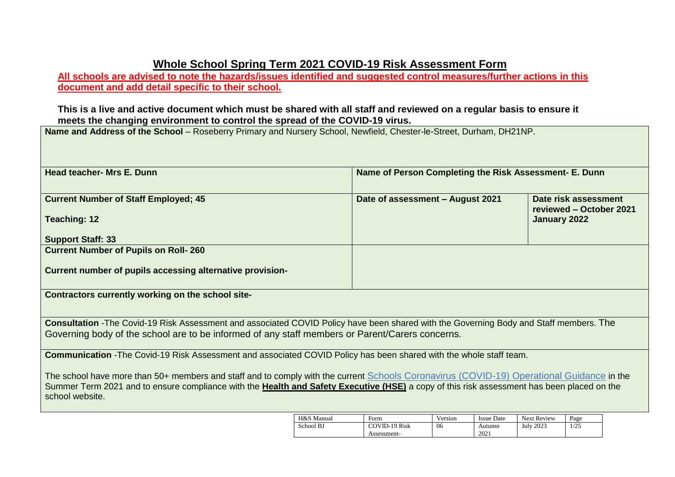## **Whole School Spring Term 2021 COVID-19 Risk Assessment Form**

**All schools are advised to note the hazards/issues identified and suggested control measures/further actions in this document and add detail specific to their school.** 

## **This is a live and active document which must be shared with all staff and reviewed on a regular basis to ensure it meets the changing environment to control the spread of the COVID-19 virus.**

**Name and Address of the School** – Roseberry Primary and Nursery School, Newfield, Chester-le-Street, Durham, DH21NP.

| <b>Head teacher- Mrs E. Dunn</b>                                                                                                              | Name of Person Completing the Risk Assessment- E. Dunn  |                         |
|-----------------------------------------------------------------------------------------------------------------------------------------------|---------------------------------------------------------|-------------------------|
|                                                                                                                                               |                                                         |                         |
| <b>Current Number of Staff Employed; 45</b>                                                                                                   | Date of assessment - August 2021                        | Date risk assessment    |
|                                                                                                                                               |                                                         | reviewed - October 2021 |
| <b>Teaching: 12</b>                                                                                                                           |                                                         | January 2022            |
| <b>Support Staff: 33</b>                                                                                                                      |                                                         |                         |
| <b>Current Number of Pupils on Roll- 260</b>                                                                                                  |                                                         |                         |
|                                                                                                                                               |                                                         |                         |
| Current number of pupils accessing alternative provision-                                                                                     |                                                         |                         |
| Contractors currently working on the school site-                                                                                             |                                                         |                         |
|                                                                                                                                               |                                                         |                         |
|                                                                                                                                               |                                                         |                         |
| <b>Consultation</b> -The Covid-19 Risk Assessment and associated COVID Policy have been shared with the Governing Body and Staff members. The |                                                         |                         |
| Governing body of the school are to be informed of any staff members or Parent/Carers concerns.                                               |                                                         |                         |
| Communication - The Covid-19 Risk Assessment and associated COVID Policy has been shared with the whole staff team.                           |                                                         |                         |
|                                                                                                                                               |                                                         |                         |
| The school have more than 50+ members and staff and to comply with the current Schools Coronavirus (COVID-19) Operational Guidance in the     |                                                         |                         |
| Summer Term 2021 and to ensure compliance with the Health and Safety Executive (HSE) a copy of this risk assessment has been placed on the    |                                                         |                         |
| school website.                                                                                                                               |                                                         |                         |
| $T L Q_1 C_1 M_2 \ldots 1$                                                                                                                    | Venter Incorporate Ment Decision Descri<br>$\mathbf{F}$ |                         |

| H&S Manual | Form                 | Version | Issue Date | <b>Next Review</b> | Page         |
|------------|----------------------|---------|------------|--------------------|--------------|
| School BJ  | <b>COVID-19 Risk</b> | 06      | Autumn     | 2023<br>July       | 105<br>رے رو |
|            | Assessment-          |         | 2021       |                    |              |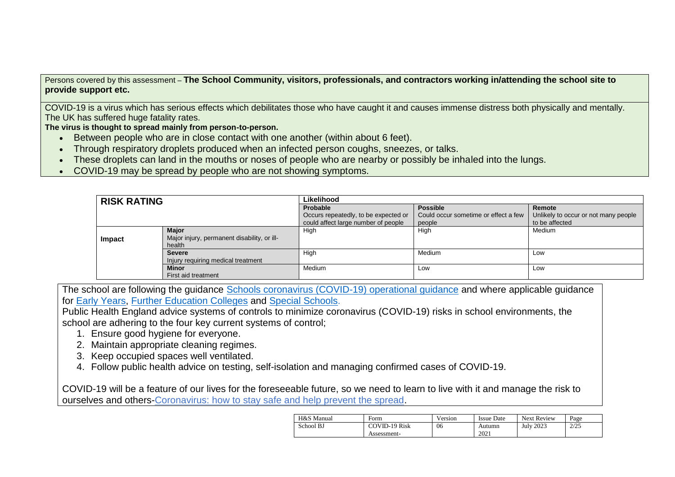Persons covered by this assessment – **The School Community, visitors, professionals, and contractors working in/attending the school site to provide support etc.**

COVID-19 is a virus which has serious effects which debilitates those who have caught it and causes immense distress both physically and mentally. The UK has suffered huge fatality rates.

**The virus is thought to spread mainly from person-to-person.**

- Between people who are in close contact with one another (within about 6 feet).
- Through respiratory droplets produced when an infected person coughs, sneezes, or talks.
- These droplets can land in the mouths or noses of people who are nearby or possibly be inhaled into the lungs.
- COVID-19 may be spread by people who are not showing symptoms.

| <b>RISK RATING</b> |                                                       | Likelihood                           |                                      |                                      |  |  |  |  |
|--------------------|-------------------------------------------------------|--------------------------------------|--------------------------------------|--------------------------------------|--|--|--|--|
|                    |                                                       | Probable                             | <b>Possible</b>                      | Remote                               |  |  |  |  |
|                    |                                                       | Occurs repeatedly, to be expected or | Could occur sometime or effect a few | Unlikely to occur or not many people |  |  |  |  |
|                    |                                                       | could affect large number of people  | people                               | to be affected                       |  |  |  |  |
|                    | <b>Major</b>                                          | High                                 | High                                 | Medium                               |  |  |  |  |
| Impact             | Major injury, permanent disability, or ill-<br>health |                                      |                                      |                                      |  |  |  |  |
|                    | <b>Severe</b>                                         | High                                 | Medium                               | Low                                  |  |  |  |  |
|                    | Injury requiring medical treatment                    |                                      |                                      |                                      |  |  |  |  |
|                    | <b>Minor</b>                                          | Medium                               | Low                                  | Low                                  |  |  |  |  |
|                    | First aid treatment                                   |                                      |                                      |                                      |  |  |  |  |

The school are following the guidance [Schools coronavirus \(COVID-19\) operational guidance](https://www.gov.uk/government/publications/actions-for-schools-during-the-coronavirus-outbreak/schools-coronavirus-covid-19-operational-guidance) and where applicable guidance for [Early Years,](https://www.gov.uk/government/publications/coronavirus-covid-19-early-years-and-childcare-closures/actions-for-early-years-and-childcare-providers-during-the-covid-19-pandemic) [Further Education Colleges](https://www.gov.uk/government/publications/coronavirus-covid-19-maintaining-further-education-provision/further-education-covid-19-operational-guidance) and [Special Schools.](https://www.gov.uk/government/publications/guidance-for-full-opening-special-schools-and-other-specialist-settings/send-and-specialist-settings-additional-covid-19-operational-guidance-applies-after-step-4)

Public Health England advice systems of controls to minimize coronavirus (COVID-19) risks in school environments, the school are adhering to the four key current systems of control;

- 1. Ensure good hygiene for everyone.
- 2. Maintain appropriate cleaning regimes.
- 3. Keep occupied spaces well ventilated.
- 4. Follow public health advice on testing, self-isolation and managing confirmed cases of COVID-19.

[COVID-19 will be a feature of our lives for the foreseeable future, so we need to learn to live with it and manage the risk to](https://www.gov.uk/guidance/covid-19-coronavirus-restrictions-what-you-can-and-cannot-do?fbclid=IwAR05JnKHSGCw44PjqCdklSq0TdZNY55Qqf_5_MDleT_oAMdmVYhPVoGwdgU)  ourselves and others-Coronavirus: how [to stay safe and help prevent the spread.](https://www.gov.uk/guidance/covid-19-coronavirus-restrictions-what-you-can-and-cannot-do?fbclid=IwAR05JnKHSGCw44PjqCdklSq0TdZNY55Qqf_5_MDleT_oAMdmVYhPVoGwdgU)

| H&S Manual | Form          | Version | <b>Issue Date</b> | <b>Next Review</b> | Page |
|------------|---------------|---------|-------------------|--------------------|------|
| School BJ  | COVID-19 Risk | 06      | Autumn            | <b>July 2023</b>   | 2/25 |
|            | Assessment-   |         | 2021              |                    |      |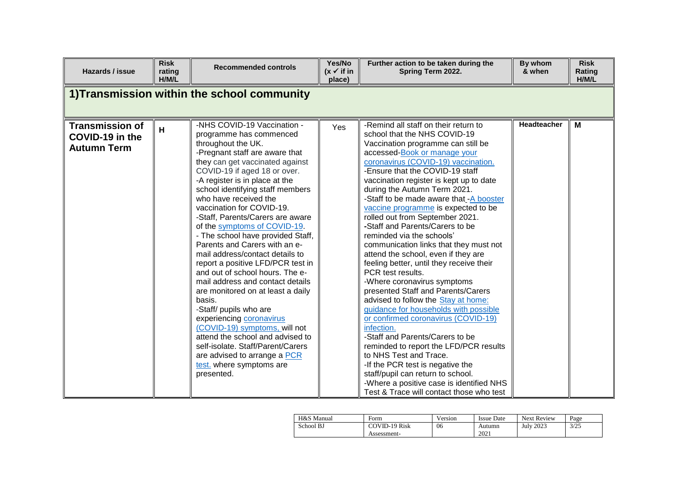| Hazards / issue                                                 | <b>Risk</b><br>rating<br>H/M/L | <b>Recommended controls</b>                                                                                                                                                                                                                                                                                                                                                                                                                                                                                                                                                                                                                                                                                                                                                                                                                                                                     | Yes/No<br>$(x \vee$ if in<br>place) | Further action to be taken during the<br>Spring Term 2022.                                                                                                                                                                                                                                                                                                                                                                                                                                                                                                                                                                                                                                                                                                                                                                                                                                                                                                                                                                                                                                                               | By whom<br>& when | <b>Risk</b><br>Rating<br>H/M/L |
|-----------------------------------------------------------------|--------------------------------|-------------------------------------------------------------------------------------------------------------------------------------------------------------------------------------------------------------------------------------------------------------------------------------------------------------------------------------------------------------------------------------------------------------------------------------------------------------------------------------------------------------------------------------------------------------------------------------------------------------------------------------------------------------------------------------------------------------------------------------------------------------------------------------------------------------------------------------------------------------------------------------------------|-------------------------------------|--------------------------------------------------------------------------------------------------------------------------------------------------------------------------------------------------------------------------------------------------------------------------------------------------------------------------------------------------------------------------------------------------------------------------------------------------------------------------------------------------------------------------------------------------------------------------------------------------------------------------------------------------------------------------------------------------------------------------------------------------------------------------------------------------------------------------------------------------------------------------------------------------------------------------------------------------------------------------------------------------------------------------------------------------------------------------------------------------------------------------|-------------------|--------------------------------|
|                                                                 |                                | 1) Transmission within the school community                                                                                                                                                                                                                                                                                                                                                                                                                                                                                                                                                                                                                                                                                                                                                                                                                                                     |                                     |                                                                                                                                                                                                                                                                                                                                                                                                                                                                                                                                                                                                                                                                                                                                                                                                                                                                                                                                                                                                                                                                                                                          |                   |                                |
| <b>Transmission of</b><br>COVID-19 in the<br><b>Autumn Term</b> | H                              | -NHS COVID-19 Vaccination -<br>programme has commenced<br>throughout the UK.<br>-Pregnant staff are aware that<br>they can get vaccinated against<br>COVID-19 if aged 18 or over.<br>-A register is in place at the<br>school identifying staff members<br>who have received the<br>vaccination for COVID-19.<br>-Staff, Parents/Carers are aware<br>of the symptoms of COVID-19.<br>- The school have provided Staff,<br>Parents and Carers with an e-<br>mail address/contact details to<br>report a positive LFD/PCR test in<br>and out of school hours. The e-<br>mail address and contact details<br>are monitored on at least a daily<br>basis.<br>-Staff/ pupils who are<br>experiencing coronavirus<br>(COVID-19) symptoms, will not<br>attend the school and advised to<br>self-isolate. Staff/Parent/Carers<br>are advised to arrange a PCR<br>test. where symptoms are<br>presented. | Yes                                 | -Remind all staff on their return to<br>school that the NHS COVID-19<br>Vaccination programme can still be<br>accessed-Book or manage your<br>coronavirus (COVID-19) vaccination.<br>-Ensure that the COVID-19 staff<br>vaccination register is kept up to date<br>during the Autumn Term 2021.<br>-Staff to be made aware that -A booster<br>vaccine programme is expected to be<br>rolled out from September 2021.<br>-Staff and Parents/Carers to be<br>reminded via the schools'<br>communication links that they must not<br>attend the school, even if they are<br>feeling better, until they receive their<br>PCR test results.<br>-Where coronavirus symptoms<br>presented Staff and Parents/Carers<br>advised to follow the Stay at home:<br>guidance for households with possible<br>or confirmed coronavirus (COVID-19)<br>infection.<br>-Staff and Parents/Carers to be<br>reminded to report the LFD/PCR results<br>to NHS Test and Trace.<br>-If the PCR test is negative the<br>staff/pupil can return to school.<br>-Where a positive case is identified NHS<br>Test & Trace will contact those who test | Headteacher       | M                              |

| H&S Manual | Form                 | Version | <b>Issue Date</b> | <b>Next Review</b> | Page |
|------------|----------------------|---------|-------------------|--------------------|------|
| School BJ  | <b>COVID-19 Risk</b> | 06      | Autumn            | <b>July 2023</b>   | 3/25 |
|            | Assessment-          |         | 2021              |                    |      |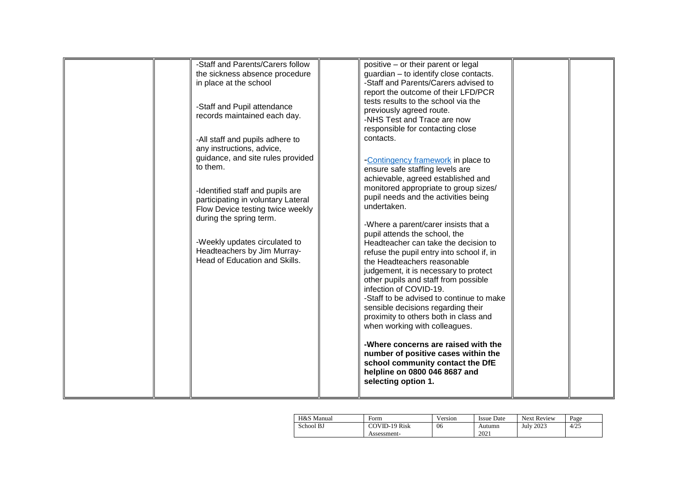|  | -Staff and Parents/Carers follow   | positive - or their parent or legal       |  |
|--|------------------------------------|-------------------------------------------|--|
|  | the sickness absence procedure     | guardian - to identify close contacts.    |  |
|  | in place at the school             | -Staff and Parents/Carers advised to      |  |
|  |                                    | report the outcome of their LFD/PCR       |  |
|  |                                    | tests results to the school via the       |  |
|  | -Staff and Pupil attendance        |                                           |  |
|  | records maintained each day.       | previously agreed route.                  |  |
|  |                                    | -NHS Test and Trace are now               |  |
|  |                                    | responsible for contacting close          |  |
|  | -All staff and pupils adhere to    | contacts.                                 |  |
|  | any instructions, advice,          |                                           |  |
|  | guidance, and site rules provided  | -Contingency framework in place to        |  |
|  | to them.                           |                                           |  |
|  |                                    | ensure safe staffing levels are           |  |
|  |                                    | achievable, agreed established and        |  |
|  | -Identified staff and pupils are   | monitored appropriate to group sizes/     |  |
|  | participating in voluntary Lateral | pupil needs and the activities being      |  |
|  | Flow Device testing twice weekly   | undertaken.                               |  |
|  | during the spring term.            |                                           |  |
|  |                                    | -Where a parent/carer insists that a      |  |
|  |                                    | pupil attends the school, the             |  |
|  | -Weekly updates circulated to      | Headteacher can take the decision to      |  |
|  | Headteachers by Jim Murray-        |                                           |  |
|  | Head of Education and Skills.      | refuse the pupil entry into school if, in |  |
|  |                                    | the Headteachers reasonable               |  |
|  |                                    | judgement, it is necessary to protect     |  |
|  |                                    | other pupils and staff from possible      |  |
|  |                                    | infection of COVID-19.                    |  |
|  |                                    | -Staff to be advised to continue to make  |  |
|  |                                    | sensible decisions regarding their        |  |
|  |                                    | proximity to others both in class and     |  |
|  |                                    | when working with colleagues.             |  |
|  |                                    |                                           |  |
|  |                                    |                                           |  |
|  |                                    | -Where concerns are raised with the       |  |
|  |                                    | number of positive cases within the       |  |
|  |                                    | school community contact the DfE          |  |
|  |                                    | helpline on 0800 046 8687 and             |  |
|  |                                    | selecting option 1.                       |  |
|  |                                    |                                           |  |
|  |                                    |                                           |  |

| H&S Manual | Form                 | Version | Issue Date | <b>Next Review</b> | Page |
|------------|----------------------|---------|------------|--------------------|------|
| School BJ  | <b>COVID-19 Risk</b> | 06      | Autumn     | <b>July 2023</b>   | 4/25 |
|            | Assessment-          |         | 2021       |                    |      |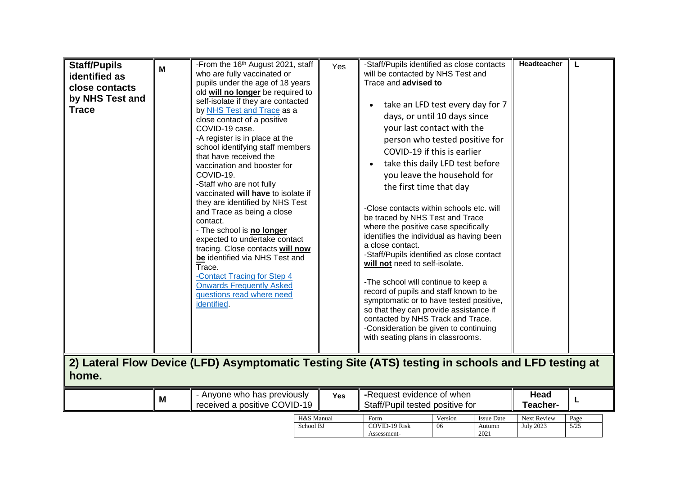| <b>Staff/Pupils</b><br>identified as<br>close contacts<br>by NHS Test and<br><b>Trace</b><br>home. | M | -From the 16 <sup>th</sup> August 2021, staff<br>who are fully vaccinated or<br>pupils under the age of 18 years<br>old will no longer be required to<br>self-isolate if they are contacted<br>by NHS Test and Trace as a<br>close contact of a positive<br>COVID-19 case.<br>-A register is in place at the<br>school identifying staff members<br>that have received the<br>vaccination and booster for<br>COVID-19.<br>-Staff who are not fully<br>vaccinated will have to isolate if<br>they are identified by NHS Test<br>and Trace as being a close<br>contact.<br>- The school is no longer<br>expected to undertake contact<br>tracing. Close contacts will now<br>be identified via NHS Test and<br>Trace.<br>-Contact Tracing for Step 4<br><b>Onwards Frequently Asked</b><br>questions read where need<br>identified.<br>2) Lateral Flow Device (LFD) Asymptomatic Testing Site (ATS) testing in schools and LFD testing at | Yes                     | -Staff/Pupils identified as close contacts<br>will be contacted by NHS Test and<br>Trace and advised to<br>take an LFD test every day for 7<br>days, or until 10 days since<br>your last contact with the<br>person who tested positive for<br>COVID-19 if this is earlier<br>take this daily LFD test before<br>you leave the household for<br>the first time that day<br>-Close contacts within schools etc. will<br>be traced by NHS Test and Trace<br>where the positive case specifically<br>identifies the individual as having been<br>a close contact.<br>-Staff/Pupils identified as close contact<br>will not need to self-isolate.<br>-The school will continue to keep a<br>record of pupils and staff known to be<br>symptomatic or to have tested positive,<br>so that they can provide assistance if<br>contacted by NHS Track and Trace.<br>-Consideration be given to continuing<br>with seating plans in classrooms. |               |                                     | Headteacher                     | L            |
|----------------------------------------------------------------------------------------------------|---|-----------------------------------------------------------------------------------------------------------------------------------------------------------------------------------------------------------------------------------------------------------------------------------------------------------------------------------------------------------------------------------------------------------------------------------------------------------------------------------------------------------------------------------------------------------------------------------------------------------------------------------------------------------------------------------------------------------------------------------------------------------------------------------------------------------------------------------------------------------------------------------------------------------------------------------------|-------------------------|----------------------------------------------------------------------------------------------------------------------------------------------------------------------------------------------------------------------------------------------------------------------------------------------------------------------------------------------------------------------------------------------------------------------------------------------------------------------------------------------------------------------------------------------------------------------------------------------------------------------------------------------------------------------------------------------------------------------------------------------------------------------------------------------------------------------------------------------------------------------------------------------------------------------------------------|---------------|-------------------------------------|---------------------------------|--------------|
|                                                                                                    | M | - Anyone who has previously<br>received a positive COVID-19                                                                                                                                                                                                                                                                                                                                                                                                                                                                                                                                                                                                                                                                                                                                                                                                                                                                             | Yes                     | -Request evidence of when<br>Staff/Pupil tested positive for                                                                                                                                                                                                                                                                                                                                                                                                                                                                                                                                                                                                                                                                                                                                                                                                                                                                           |               |                                     | <b>Head</b><br>Teacher-         | L            |
|                                                                                                    |   |                                                                                                                                                                                                                                                                                                                                                                                                                                                                                                                                                                                                                                                                                                                                                                                                                                                                                                                                         | H&S Manual<br>School BJ | Form<br><b>COVID-19 Risk</b><br>Assessment-                                                                                                                                                                                                                                                                                                                                                                                                                                                                                                                                                                                                                                                                                                                                                                                                                                                                                            | Version<br>06 | <b>Issue Date</b><br>Autumn<br>2021 | Next Review<br><b>July 2023</b> | Page<br>5/25 |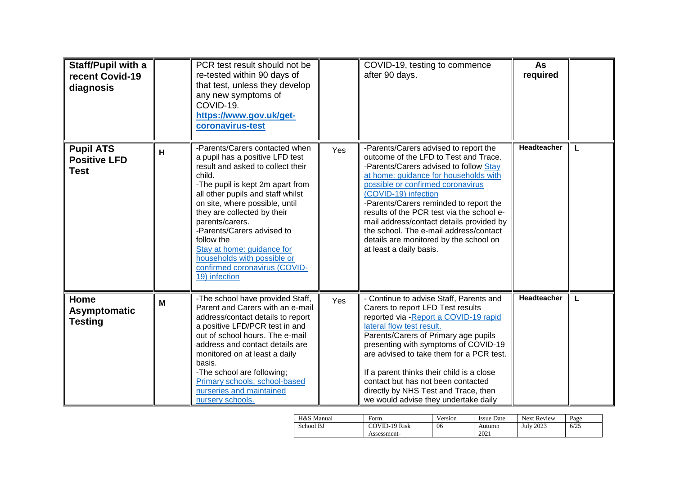| Staff/Pupil with a<br>recent Covid-19<br>diagnosis     |   | PCR test result should not be<br>re-tested within 90 days of<br>that test, unless they develop<br>any new symptoms of<br>COVID-19.<br>https://www.gov.uk/get-<br>coronavirus-test                                                                                                                                                                                                                                                        |     | COVID-19, testing to commence<br>after 90 days.                                                                                                                                                                                                                                                                                                                                                                                                                                  | As<br>required |   |
|--------------------------------------------------------|---|------------------------------------------------------------------------------------------------------------------------------------------------------------------------------------------------------------------------------------------------------------------------------------------------------------------------------------------------------------------------------------------------------------------------------------------|-----|----------------------------------------------------------------------------------------------------------------------------------------------------------------------------------------------------------------------------------------------------------------------------------------------------------------------------------------------------------------------------------------------------------------------------------------------------------------------------------|----------------|---|
| <b>Pupil ATS</b><br><b>Positive LFD</b><br><b>Test</b> | н | -Parents/Carers contacted when<br>a pupil has a positive LFD test<br>result and asked to collect their<br>child.<br>-The pupil is kept 2m apart from<br>all other pupils and staff whilst<br>on site, where possible, until<br>they are collected by their<br>parents/carers.<br>-Parents/Carers advised to<br>follow the<br>Stay at home: guidance for<br>households with possible or<br>confirmed coronavirus (COVID-<br>19) infection | Yes | -Parents/Carers advised to report the<br>outcome of the LFD to Test and Trace.<br>-Parents/Carers advised to follow Stay<br>at home: guidance for households with<br>possible or confirmed coronavirus<br>(COVID-19) infection<br>-Parents/Carers reminded to report the<br>results of the PCR test via the school e-<br>mail address/contact details provided by<br>the school. The e-mail address/contact<br>details are monitored by the school on<br>at least a daily basis. | Headteacher    | L |
| Home<br>Asymptomatic<br><b>Testing</b>                 | M | -The school have provided Staff,<br>Parent and Carers with an e-mail<br>address/contact details to report<br>a positive LFD/PCR test in and<br>out of school hours. The e-mail<br>address and contact details are<br>monitored on at least a daily<br>basis.<br>-The school are following;<br>Primary schools, school-based<br>nurseries and maintained<br>nursery schools.                                                              | Yes | - Continue to advise Staff, Parents and<br>Carers to report LFD Test results<br>reported via - Report a COVID-19 rapid<br>lateral flow test result.<br>Parents/Carers of Primary age pupils<br>presenting with symptoms of COVID-19<br>are advised to take them for a PCR test.<br>If a parent thinks their child is a close<br>contact but has not been contacted<br>directly by NHS Test and Trace, then<br>we would advise they undertake daily                               | Headteacher    | L |

| H&S Manual | Form                 | Version | <b>Issue Date</b> | <b>Next Review</b> | Page |
|------------|----------------------|---------|-------------------|--------------------|------|
| School BJ  | <b>COVID-19 Risk</b> | 06      | Autumn            | <b>July 2023</b>   | 6/25 |
|            | Assessment-          |         | 2021              |                    |      |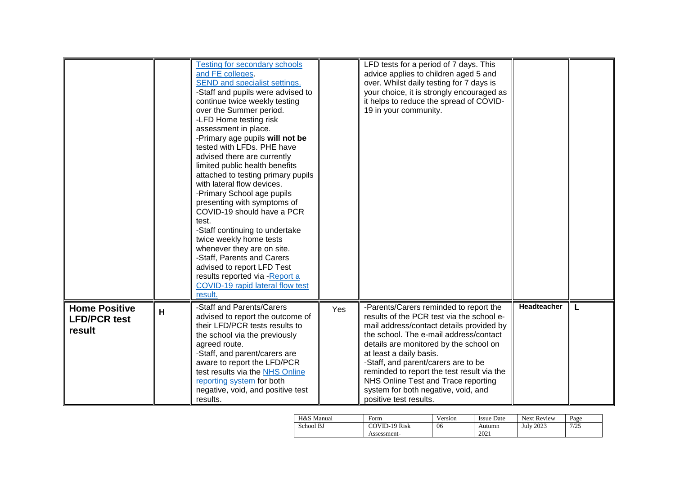|                                                       |   | <b>Testing for secondary schools</b><br>and FE colleges.<br>SEND and specialist settings.<br>-Staff and pupils were advised to<br>continue twice weekly testing<br>over the Summer period.<br>-LFD Home testing risk<br>assessment in place.<br>-Primary age pupils will not be<br>tested with LFDs. PHE have<br>advised there are currently<br>limited public health benefits<br>attached to testing primary pupils<br>with lateral flow devices.<br>-Primary School age pupils<br>presenting with symptoms of<br>COVID-19 should have a PCR<br>test.<br>-Staff continuing to undertake<br>twice weekly home tests<br>whenever they are on site.<br>-Staff, Parents and Carers<br>advised to report LFD Test<br>results reported via -Report a<br>COVID-19 rapid lateral flow test<br>result. |     | LFD tests for a period of 7 days. This<br>advice applies to children aged 5 and<br>over. Whilst daily testing for 7 days is<br>your choice, it is strongly encouraged as<br>it helps to reduce the spread of COVID-<br>19 in your community.                                                                                                                                                                                                |             |   |
|-------------------------------------------------------|---|------------------------------------------------------------------------------------------------------------------------------------------------------------------------------------------------------------------------------------------------------------------------------------------------------------------------------------------------------------------------------------------------------------------------------------------------------------------------------------------------------------------------------------------------------------------------------------------------------------------------------------------------------------------------------------------------------------------------------------------------------------------------------------------------|-----|---------------------------------------------------------------------------------------------------------------------------------------------------------------------------------------------------------------------------------------------------------------------------------------------------------------------------------------------------------------------------------------------------------------------------------------------|-------------|---|
| <b>Home Positive</b><br><b>LFD/PCR test</b><br>result | H | -Staff and Parents/Carers<br>advised to report the outcome of<br>their LFD/PCR tests results to<br>the school via the previously<br>agreed route.<br>-Staff, and parent/carers are<br>aware to report the LFD/PCR<br>test results via the NHS Online<br>reporting system for both<br>negative, void, and positive test<br>results.                                                                                                                                                                                                                                                                                                                                                                                                                                                             | Yes | -Parents/Carers reminded to report the<br>results of the PCR test via the school e-<br>mail address/contact details provided by<br>the school. The e-mail address/contact<br>details are monitored by the school on<br>at least a daily basis.<br>-Staff, and parent/carers are to be<br>reminded to report the test result via the<br>NHS Online Test and Trace reporting<br>system for both negative, void, and<br>positive test results. | Headteacher | L |

| H&S Manual | Form                 | Version | <b>Issue Date</b> | <b>Next Review</b> | Page |
|------------|----------------------|---------|-------------------|--------------------|------|
| School BJ  | <b>COVID-19 Risk</b> | 06      | Autumn            | <b>July 2023</b>   | 7/25 |
|            | Assessment-          |         | 2021              |                    |      |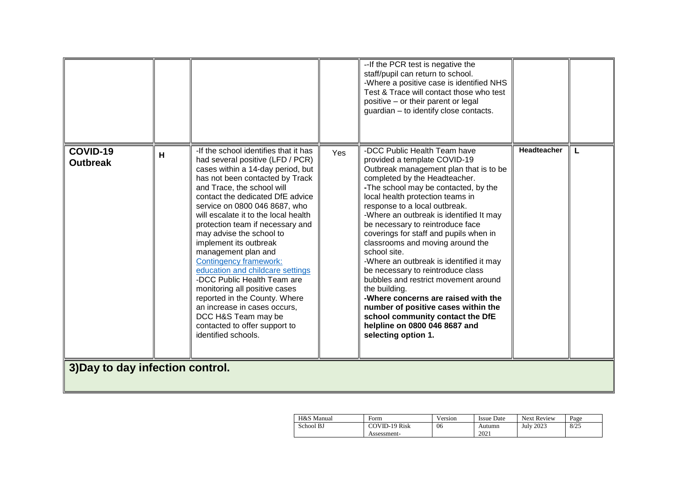|                                  |   |                                                                                                                                                                                                                                                                                                                                                                                                                                                                                                                                                                                                                                                                                             |     | -- If the PCR test is negative the<br>staff/pupil can return to school.<br>-Where a positive case is identified NHS<br>Test & Trace will contact those who test<br>positive - or their parent or legal<br>guardian - to identify close contacts.                                                                                                                                                                                                                                                                                                                                                                                                                                                                                                     |                    |   |
|----------------------------------|---|---------------------------------------------------------------------------------------------------------------------------------------------------------------------------------------------------------------------------------------------------------------------------------------------------------------------------------------------------------------------------------------------------------------------------------------------------------------------------------------------------------------------------------------------------------------------------------------------------------------------------------------------------------------------------------------------|-----|------------------------------------------------------------------------------------------------------------------------------------------------------------------------------------------------------------------------------------------------------------------------------------------------------------------------------------------------------------------------------------------------------------------------------------------------------------------------------------------------------------------------------------------------------------------------------------------------------------------------------------------------------------------------------------------------------------------------------------------------------|--------------------|---|
| COVID-19<br><b>Outbreak</b>      | н | -If the school identifies that it has<br>had several positive (LFD / PCR)<br>cases within a 14-day period, but<br>has not been contacted by Track<br>and Trace, the school will<br>contact the dedicated DfE advice<br>service on 0800 046 8687, who<br>will escalate it to the local health<br>protection team if necessary and<br>may advise the school to<br>implement its outbreak<br>management plan and<br>Contingency framework:<br>education and childcare settings<br>-DCC Public Health Team are<br>monitoring all positive cases<br>reported in the County. Where<br>an increase in cases occurs.<br>DCC H&S Team may be<br>contacted to offer support to<br>identified schools. | Yes | -DCC Public Health Team have<br>provided a template COVID-19<br>Outbreak management plan that is to be<br>completed by the Headteacher.<br>-The school may be contacted, by the<br>local health protection teams in<br>response to a local outbreak.<br>-Where an outbreak is identified It may<br>be necessary to reintroduce face<br>coverings for staff and pupils when in<br>classrooms and moving around the<br>school site.<br>-Where an outbreak is identified it may<br>be necessary to reintroduce class<br>bubbles and restrict movement around<br>the building.<br>-Where concerns are raised with the<br>number of positive cases within the<br>school community contact the DfE<br>helpline on 0800 046 8687 and<br>selecting option 1. | <b>Headteacher</b> | L |
| 3) Day to day infection control. |   |                                                                                                                                                                                                                                                                                                                                                                                                                                                                                                                                                                                                                                                                                             |     |                                                                                                                                                                                                                                                                                                                                                                                                                                                                                                                                                                                                                                                                                                                                                      |                    |   |

| H&S Manual | Form                 | <b>x</b> <i>x</i><br>Version | <b>Issue Date</b> | <b>Next Review</b> | Page |
|------------|----------------------|------------------------------|-------------------|--------------------|------|
| School BJ  | <b>COVID-19 Risk</b> | 06                           | Autumn            | <b>July 2023</b>   | 8/25 |
|            | Assessment-          |                              | 2021              |                    |      |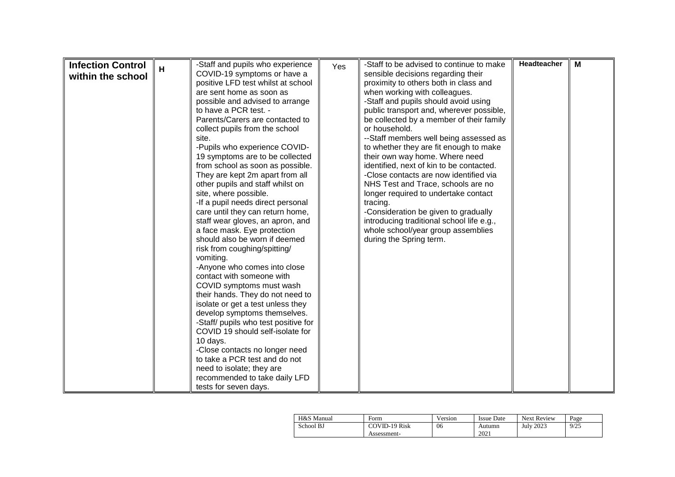| <b>Infection Control</b> |   | -Staff and pupils who experience                                      | Yes | -Staff to be advised to continue to make  | Headteacher | M |
|--------------------------|---|-----------------------------------------------------------------------|-----|-------------------------------------------|-------------|---|
| within the school        | H | COVID-19 symptoms or have a                                           |     | sensible decisions regarding their        |             |   |
|                          |   | positive LFD test whilst at school                                    |     | proximity to others both in class and     |             |   |
|                          |   | are sent home as soon as                                              |     | when working with colleagues.             |             |   |
|                          |   | possible and advised to arrange                                       |     | -Staff and pupils should avoid using      |             |   |
|                          |   | to have a PCR test. -                                                 |     | public transport and, wherever possible,  |             |   |
|                          |   | Parents/Carers are contacted to                                       |     | be collected by a member of their family  |             |   |
|                          |   | collect pupils from the school                                        |     | or household.                             |             |   |
|                          |   | site.                                                                 |     | --Staff members well being assessed as    |             |   |
|                          |   | -Pupils who experience COVID-                                         |     | to whether they are fit enough to make    |             |   |
|                          |   | 19 symptoms are to be collected                                       |     | their own way home. Where need            |             |   |
|                          |   | from school as soon as possible.                                      |     | identified, next of kin to be contacted.  |             |   |
|                          |   | They are kept 2m apart from all                                       |     | -Close contacts are now identified via    |             |   |
|                          |   | other pupils and staff whilst on                                      |     | NHS Test and Trace, schools are no        |             |   |
|                          |   | site, where possible.                                                 |     | longer required to undertake contact      |             |   |
|                          |   | -If a pupil needs direct personal                                     |     | tracing.                                  |             |   |
|                          |   | care until they can return home,                                      |     | -Consideration be given to gradually      |             |   |
|                          |   | staff wear gloves, an apron, and                                      |     | introducing traditional school life e.g., |             |   |
|                          |   | a face mask. Eye protection                                           |     | whole school/year group assemblies        |             |   |
|                          |   | should also be worn if deemed                                         |     | during the Spring term.                   |             |   |
|                          |   | risk from coughing/spitting/                                          |     |                                           |             |   |
|                          |   | vomiting.                                                             |     |                                           |             |   |
|                          |   | -Anyone who comes into close<br>contact with someone with             |     |                                           |             |   |
|                          |   |                                                                       |     |                                           |             |   |
|                          |   | COVID symptoms must wash                                              |     |                                           |             |   |
|                          |   | their hands. They do not need to<br>isolate or get a test unless they |     |                                           |             |   |
|                          |   | develop symptoms themselves.                                          |     |                                           |             |   |
|                          |   | -Staff/ pupils who test positive for                                  |     |                                           |             |   |
|                          |   | COVID 19 should self-isolate for                                      |     |                                           |             |   |
|                          |   | 10 days.                                                              |     |                                           |             |   |
|                          |   | -Close contacts no longer need                                        |     |                                           |             |   |
|                          |   | to take a PCR test and do not                                         |     |                                           |             |   |
|                          |   | need to isolate; they are                                             |     |                                           |             |   |
|                          |   | recommended to take daily LFD                                         |     |                                           |             |   |
|                          |   | tests for seven days.                                                 |     |                                           |             |   |

| H&S Manual | Form          | Version | <b>Issue Date</b> | <b>Next Review</b> | Page |
|------------|---------------|---------|-------------------|--------------------|------|
| School BJ  | COVID-19 Risk | 06      | Autumn            | July 2023          | 9/25 |
|            | Assessment-   |         | 2021              |                    |      |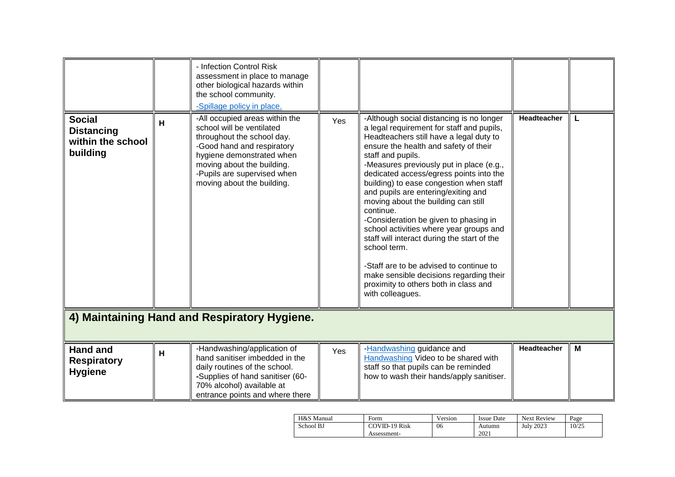|                                                                     |   | - Infection Control Risk<br>assessment in place to manage<br>other biological hazards within<br>the school community.<br>-Spillage policy in place.                                                                                             |     |                                                                                                                                                                                                                                                                                                                                                                                                                                                                                                                                                                                                                                                                                                                                   |             |   |
|---------------------------------------------------------------------|---|-------------------------------------------------------------------------------------------------------------------------------------------------------------------------------------------------------------------------------------------------|-----|-----------------------------------------------------------------------------------------------------------------------------------------------------------------------------------------------------------------------------------------------------------------------------------------------------------------------------------------------------------------------------------------------------------------------------------------------------------------------------------------------------------------------------------------------------------------------------------------------------------------------------------------------------------------------------------------------------------------------------------|-------------|---|
| <b>Social</b><br><b>Distancing</b><br>within the school<br>building | н | -All occupied areas within the<br>school will be ventilated<br>throughout the school day.<br>-Good hand and respiratory<br>hygiene demonstrated when<br>moving about the building.<br>-Pupils are supervised when<br>moving about the building. | Yes | -Although social distancing is no longer<br>a legal requirement for staff and pupils,<br>Headteachers still have a legal duty to<br>ensure the health and safety of their<br>staff and pupils.<br>-Measures previously put in place (e.g.,<br>dedicated access/egress points into the<br>building) to ease congestion when staff<br>and pupils are entering/exiting and<br>moving about the building can still<br>continue.<br>-Consideration be given to phasing in<br>school activities where year groups and<br>staff will interact during the start of the<br>school term.<br>-Staff are to be advised to continue to<br>make sensible decisions regarding their<br>proximity to others both in class and<br>with colleagues. | Headteacher |   |
|                                                                     |   | 4) Maintaining Hand and Respiratory Hygiene.                                                                                                                                                                                                    |     |                                                                                                                                                                                                                                                                                                                                                                                                                                                                                                                                                                                                                                                                                                                                   |             |   |
| <b>Hand and</b><br><b>Respiratory</b><br><b>Hygiene</b>             | H | -Handwashing/application of<br>hand sanitiser imbedded in the<br>daily routines of the school.<br>-Supplies of hand sanitiser (60-<br>70% alcohol) available at<br>entrance points and where there                                              | Yes | -Handwashing guidance and<br>Handwashing Video to be shared with<br>staff so that pupils can be reminded<br>how to wash their hands/apply sanitiser.                                                                                                                                                                                                                                                                                                                                                                                                                                                                                                                                                                              | Headteacher | M |

| H&S Manual | Form                 | Version | <b>Issue Date</b> | <b>Next Review</b> | Page  |
|------------|----------------------|---------|-------------------|--------------------|-------|
| School BJ  | <b>COVID-19 Risk</b> | 06      | Autumn            | <b>July 2023</b>   | 10/25 |
|            | Assessment-          |         | 2021              |                    |       |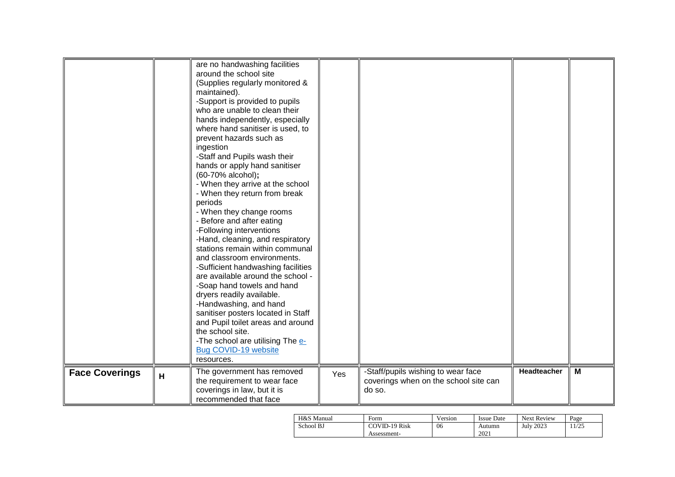|                       |   | are no handwashing facilities<br>around the school site<br>(Supplies regularly monitored &<br>maintained).<br>-Support is provided to pupils<br>who are unable to clean their<br>hands independently, especially<br>where hand sanitiser is used, to<br>prevent hazards such as<br>ingestion<br>-Staff and Pupils wash their<br>hands or apply hand sanitiser<br>(60-70% alcohol);<br>- When they arrive at the school<br>- When they return from break<br>periods<br>- When they change rooms<br>- Before and after eating<br>-Following interventions<br>-Hand, cleaning, and respiratory<br>stations remain within communal<br>and classroom environments.<br>-Sufficient handwashing facilities<br>are available around the school -<br>-Soap hand towels and hand<br>dryers readily available.<br>-Handwashing, and hand<br>sanitiser posters located in Staff<br>and Pupil toilet areas and around<br>the school site.<br>-The school are utilising The e-<br>Bug COVID-19 website<br>resources. |     |                                                                                       |             |   |
|-----------------------|---|--------------------------------------------------------------------------------------------------------------------------------------------------------------------------------------------------------------------------------------------------------------------------------------------------------------------------------------------------------------------------------------------------------------------------------------------------------------------------------------------------------------------------------------------------------------------------------------------------------------------------------------------------------------------------------------------------------------------------------------------------------------------------------------------------------------------------------------------------------------------------------------------------------------------------------------------------------------------------------------------------------|-----|---------------------------------------------------------------------------------------|-------------|---|
| <b>Face Coverings</b> | H | The government has removed<br>the requirement to wear face<br>coverings in law, but it is<br>recommended that face                                                                                                                                                                                                                                                                                                                                                                                                                                                                                                                                                                                                                                                                                                                                                                                                                                                                                     | Yes | -Staff/pupils wishing to wear face<br>coverings when on the school site can<br>do so. | Headteacher | М |

| H&S Manual | Form                         | Version | <b>Issue Date</b> | <b>Next Review</b> | $P_{\text{age}}$ |
|------------|------------------------------|---------|-------------------|--------------------|------------------|
| School BJ  | COVID-19 Risk<br>Assessment- | 06      | Autumn<br>2021    | <b>July 2023</b>   | 1/25             |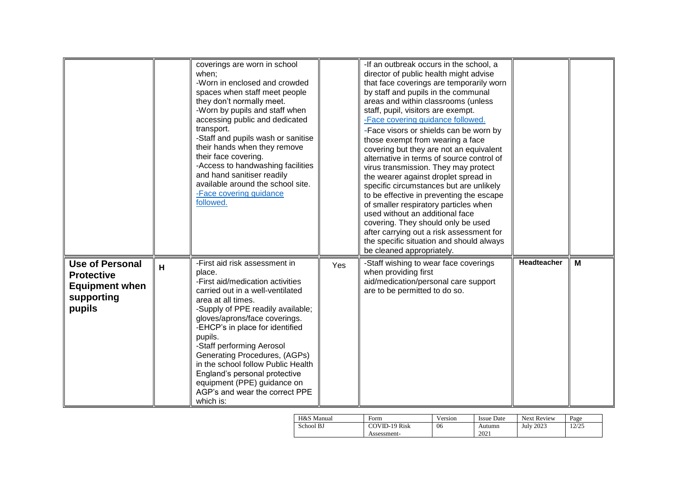|                                                                                              |   | coverings are worn in school<br>when:<br>-Worn in enclosed and crowded<br>spaces when staff meet people<br>they don't normally meet.<br>-Worn by pupils and staff when<br>accessing public and dedicated<br>transport.<br>-Staff and pupils wash or sanitise<br>their hands when they remove<br>their face covering.<br>-Access to handwashing facilities<br>and hand sanitiser readily<br>available around the school site.<br>-Face covering guidance<br>followed.         |     | -If an outbreak occurs in the school, a<br>director of public health might advise<br>that face coverings are temporarily worn<br>by staff and pupils in the communal<br>areas and within classrooms (unless<br>staff, pupil, visitors are exempt.<br>-Face covering guidance followed.<br>-Face visors or shields can be worn by<br>those exempt from wearing a face<br>covering but they are not an equivalent<br>alternative in terms of source control of<br>virus transmission. They may protect<br>the wearer against droplet spread in<br>specific circumstances but are unlikely<br>to be effective in preventing the escape<br>of smaller respiratory particles when<br>used without an additional face<br>covering. They should only be used<br>after carrying out a risk assessment for<br>the specific situation and should always<br>be cleaned appropriately. |             |   |
|----------------------------------------------------------------------------------------------|---|------------------------------------------------------------------------------------------------------------------------------------------------------------------------------------------------------------------------------------------------------------------------------------------------------------------------------------------------------------------------------------------------------------------------------------------------------------------------------|-----|----------------------------------------------------------------------------------------------------------------------------------------------------------------------------------------------------------------------------------------------------------------------------------------------------------------------------------------------------------------------------------------------------------------------------------------------------------------------------------------------------------------------------------------------------------------------------------------------------------------------------------------------------------------------------------------------------------------------------------------------------------------------------------------------------------------------------------------------------------------------------|-------------|---|
| <b>Use of Personal</b><br><b>Protective</b><br><b>Equipment when</b><br>supporting<br>pupils | H | -First aid risk assessment in<br>place.<br>-First aid/medication activities<br>carried out in a well-ventilated<br>area at all times.<br>-Supply of PPE readily available;<br>gloves/aprons/face coverings.<br>-EHCP's in place for identified<br>pupils.<br>-Staff performing Aerosol<br>Generating Procedures, (AGPs)<br>in the school follow Public Health<br>England's personal protective<br>equipment (PPE) guidance on<br>AGP's and wear the correct PPE<br>which is: | Yes | -Staff wishing to wear face coverings<br>when providing first<br>aid/medication/personal care support<br>are to be permitted to do so.                                                                                                                                                                                                                                                                                                                                                                                                                                                                                                                                                                                                                                                                                                                                     | Headteacher | М |

| H&S Manual | Form                         | Version | <b>Issue Date</b> | <b>Next Review</b> | Page  |
|------------|------------------------------|---------|-------------------|--------------------|-------|
| School BJ  | COVID-19 Risk<br>Assessment- | 06      | Autumn<br>2021    | <b>July 2023</b>   | 12/25 |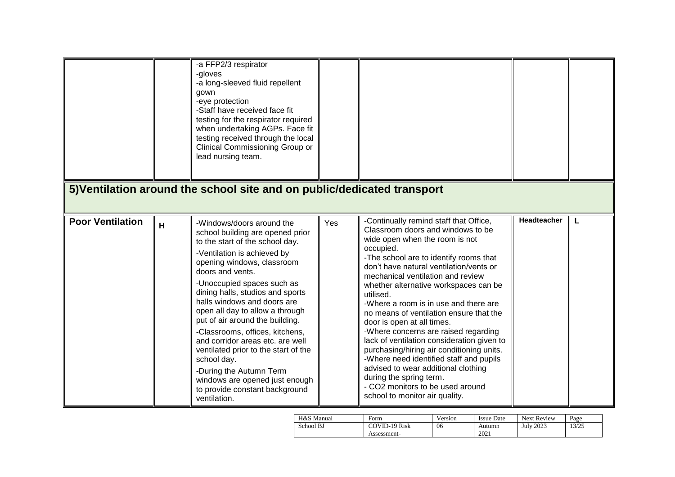|                         |   | -a FFP2/3 respirator<br>-gloves<br>-a long-sleeved fluid repellent<br>gown<br>-eye protection<br>-Staff have received face fit<br>testing for the respirator required<br>when undertaking AGPs. Face fit<br>testing received through the local<br>Clinical Commissioning Group or<br>lead nursing team.<br>5) Ventilation around the school site and on public/dedicated transport |     |                                                                                                                                                                                                                                                                            |             |   |
|-------------------------|---|------------------------------------------------------------------------------------------------------------------------------------------------------------------------------------------------------------------------------------------------------------------------------------------------------------------------------------------------------------------------------------|-----|----------------------------------------------------------------------------------------------------------------------------------------------------------------------------------------------------------------------------------------------------------------------------|-------------|---|
| <b>Poor Ventilation</b> | H | -Windows/doors around the<br>school building are opened prior<br>to the start of the school day.<br>-Ventilation is achieved by<br>opening windows, classroom<br>doors and vents.                                                                                                                                                                                                  | Yes | -Continually remind staff that Office,<br>Classroom doors and windows to be<br>wide open when the room is not<br>occupied.<br>-The school are to identify rooms that<br>don't have natural ventilation/vents or                                                            | Headteacher | L |
|                         |   | -Unoccupied spaces such as<br>dining halls, studios and sports<br>halls windows and doors are<br>open all day to allow a through<br>put of air around the building.<br>-Classrooms, offices, kitchens,                                                                                                                                                                             |     | mechanical ventilation and review<br>whether alternative workspaces can be<br>utilised.<br>-Where a room is in use and there are<br>no means of ventilation ensure that the<br>door is open at all times.<br>-Where concerns are raised regarding                          |             |   |
|                         |   | and corridor areas etc. are well<br>ventilated prior to the start of the<br>school day.<br>-During the Autumn Term<br>windows are opened just enough<br>to provide constant background<br>ventilation.                                                                                                                                                                             |     | lack of ventilation consideration given to<br>purchasing/hiring air conditioning units.<br>-Where need identified staff and pupils<br>advised to wear additional clothing<br>during the spring term.<br>- CO2 monitors to be used around<br>school to monitor air quality. |             |   |

| H&S Manual | Form                 | Version | <b>Issue Date</b> | <b>Next Review</b> | Page  |
|------------|----------------------|---------|-------------------|--------------------|-------|
| School BJ  | <b>COVID-19 Risk</b> | 06      | Autumn            | <b>July 2023</b>   | 13/25 |
|            | Assessment-          |         | 2021              |                    |       |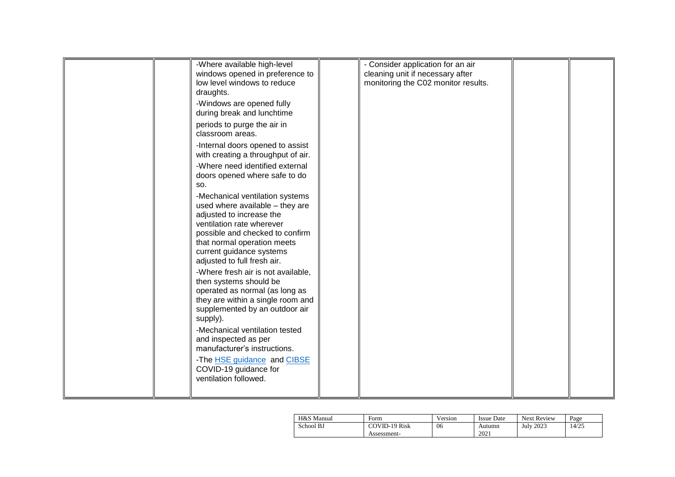|  | -Where available high-level        | - Consider application for an air   |  |
|--|------------------------------------|-------------------------------------|--|
|  | windows opened in preference to    | cleaning unit if necessary after    |  |
|  | low level windows to reduce        | monitoring the C02 monitor results. |  |
|  | draughts.                          |                                     |  |
|  | -Windows are opened fully          |                                     |  |
|  |                                    |                                     |  |
|  | during break and lunchtime         |                                     |  |
|  | periods to purge the air in        |                                     |  |
|  | classroom areas.                   |                                     |  |
|  |                                    |                                     |  |
|  | -Internal doors opened to assist   |                                     |  |
|  | with creating a throughput of air. |                                     |  |
|  | -Where need identified external    |                                     |  |
|  | doors opened where safe to do      |                                     |  |
|  | SO.                                |                                     |  |
|  |                                    |                                     |  |
|  | -Mechanical ventilation systems    |                                     |  |
|  | used where available - they are    |                                     |  |
|  | adjusted to increase the           |                                     |  |
|  | ventilation rate wherever          |                                     |  |
|  | possible and checked to confirm    |                                     |  |
|  | that normal operation meets        |                                     |  |
|  |                                    |                                     |  |
|  | current guidance systems           |                                     |  |
|  | adjusted to full fresh air.        |                                     |  |
|  | -Where fresh air is not available, |                                     |  |
|  | then systems should be             |                                     |  |
|  | operated as normal (as long as     |                                     |  |
|  |                                    |                                     |  |
|  | they are within a single room and  |                                     |  |
|  | supplemented by an outdoor air     |                                     |  |
|  | supply).                           |                                     |  |
|  | -Mechanical ventilation tested     |                                     |  |
|  | and inspected as per               |                                     |  |
|  | manufacturer's instructions.       |                                     |  |
|  |                                    |                                     |  |
|  | -The HSE guidance and CIBSE        |                                     |  |
|  | COVID-19 guidance for              |                                     |  |
|  | ventilation followed.              |                                     |  |
|  |                                    |                                     |  |
|  |                                    |                                     |  |

| H&S Manual | Form                 | Version | <b>Issue Date</b> | <b>Next Review</b> | Page  |
|------------|----------------------|---------|-------------------|--------------------|-------|
| School BJ  | <b>COVID-19 Risk</b> | 06      | Autumn<br>2021    | <b>July 2023</b>   | 14/25 |
|            | Assessment-          |         |                   |                    |       |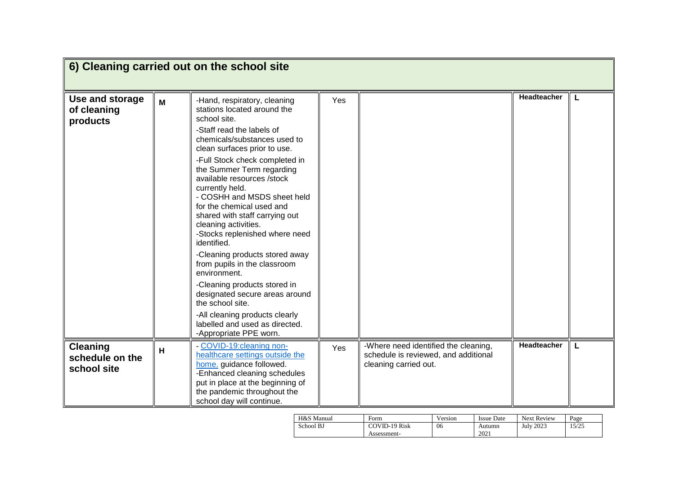|                                                   |   | 6) Cleaning carried out on the school site                                                                                                                                                                                                                                                                                                                                                                                                                                                                                                                                                                                                                                                                                            |     |                                                                                                       |             |   |
|---------------------------------------------------|---|---------------------------------------------------------------------------------------------------------------------------------------------------------------------------------------------------------------------------------------------------------------------------------------------------------------------------------------------------------------------------------------------------------------------------------------------------------------------------------------------------------------------------------------------------------------------------------------------------------------------------------------------------------------------------------------------------------------------------------------|-----|-------------------------------------------------------------------------------------------------------|-------------|---|
| Use and storage<br>of cleaning<br>products        | M | -Hand, respiratory, cleaning<br>stations located around the<br>school site.<br>-Staff read the labels of<br>chemicals/substances used to<br>clean surfaces prior to use.<br>-Full Stock check completed in<br>the Summer Term regarding<br>available resources /stock<br>currently held.<br>- COSHH and MSDS sheet held<br>for the chemical used and<br>shared with staff carrying out<br>cleaning activities.<br>-Stocks replenished where need<br>identified.<br>-Cleaning products stored away<br>from pupils in the classroom<br>environment.<br>-Cleaning products stored in<br>designated secure areas around<br>the school site.<br>-All cleaning products clearly<br>labelled and used as directed.<br>-Appropriate PPE worn. | Yes |                                                                                                       | Headteacher | L |
| <b>Cleaning</b><br>schedule on the<br>school site | H | - COVID-19:cleaning non-<br>healthcare settings outside the<br>home. guidance followed.<br>-Enhanced cleaning schedules<br>put in place at the beginning of<br>the pandemic throughout the<br>school day will continue.                                                                                                                                                                                                                                                                                                                                                                                                                                                                                                               | Yes | -Where need identified the cleaning,<br>schedule is reviewed, and additional<br>cleaning carried out. | Headteacher |   |

| H&S Manual | Form          | Version | <b>Issue Date</b> | <b>Next Review</b> | Page  |
|------------|---------------|---------|-------------------|--------------------|-------|
| School BJ  | COVID-19 Risk | 06      | Autumn            | July 2023          | 15/25 |
|            | Assessment-   |         | 2021              |                    |       |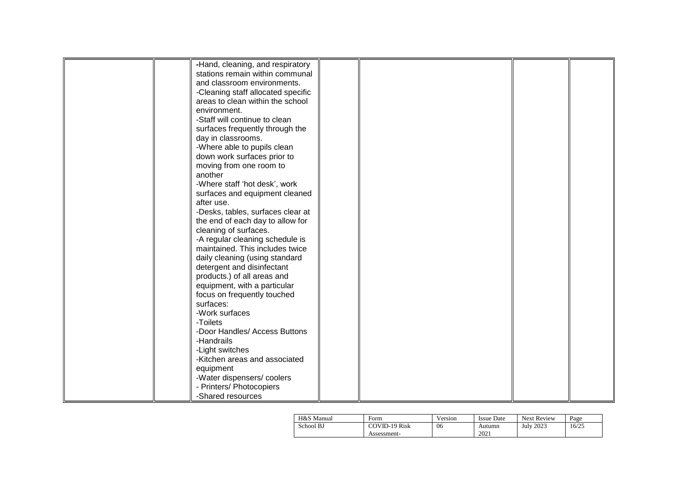|  | -Hand, cleaning, and respiratory   |  |  |
|--|------------------------------------|--|--|
|  | stations remain within communal    |  |  |
|  | and classroom environments.        |  |  |
|  | -Cleaning staff allocated specific |  |  |
|  | areas to clean within the school   |  |  |
|  | environment.                       |  |  |
|  | -Staff will continue to clean      |  |  |
|  | surfaces frequently through the    |  |  |
|  | day in classrooms.                 |  |  |
|  | -Where able to pupils clean        |  |  |
|  | down work surfaces prior to        |  |  |
|  |                                    |  |  |
|  | moving from one room to<br>another |  |  |
|  |                                    |  |  |
|  | -Where staff 'hot desk', work      |  |  |
|  | surfaces and equipment cleaned     |  |  |
|  | after use.                         |  |  |
|  | -Desks, tables, surfaces clear at  |  |  |
|  | the end of each day to allow for   |  |  |
|  | cleaning of surfaces.              |  |  |
|  | -A regular cleaning schedule is    |  |  |
|  | maintained. This includes twice    |  |  |
|  | daily cleaning (using standard     |  |  |
|  | detergent and disinfectant         |  |  |
|  | products.) of all areas and        |  |  |
|  | equipment, with a particular       |  |  |
|  | focus on frequently touched        |  |  |
|  | surfaces:                          |  |  |
|  | -Work surfaces                     |  |  |
|  | -Toilets                           |  |  |
|  | -Door Handles/ Access Buttons      |  |  |
|  | -Handrails                         |  |  |
|  | -Light switches                    |  |  |
|  | -Kitchen areas and associated      |  |  |
|  | equipment                          |  |  |
|  | -Water dispensers/coolers          |  |  |
|  | - Printers/ Photocopiers           |  |  |
|  | -Shared resources                  |  |  |
|  |                                    |  |  |

| H&S Manual | Form          | Version | <b>Issue Date</b> | <b>Next Review</b> | Page  |
|------------|---------------|---------|-------------------|--------------------|-------|
| School BJ  | COVID-19 Risk | 06      | Autumn            | July 2023          | 16/25 |
|            | Assessment-   |         | 2021              |                    |       |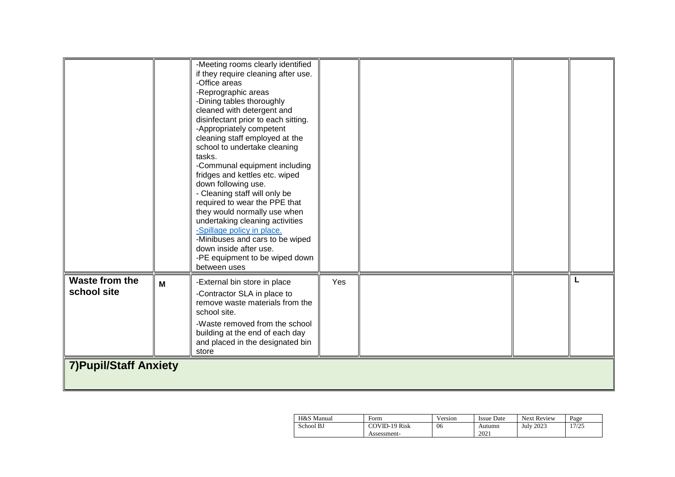|                               |   | -Meeting rooms clearly identified<br>if they require cleaning after use.<br>-Office areas<br>-Reprographic areas<br>-Dining tables thoroughly<br>cleaned with detergent and<br>disinfectant prior to each sitting.<br>-Appropriately competent<br>cleaning staff employed at the<br>school to undertake cleaning<br>tasks.<br>-Communal equipment including<br>fridges and kettles etc. wiped<br>down following use.<br>- Cleaning staff will only be<br>required to wear the PPE that<br>they would normally use when<br>undertaking cleaning activities<br>-Spillage policy in place.<br>-Minibuses and cars to be wiped<br>down inside after use.<br>-PE equipment to be wiped down<br>between uses |     |  |   |
|-------------------------------|---|--------------------------------------------------------------------------------------------------------------------------------------------------------------------------------------------------------------------------------------------------------------------------------------------------------------------------------------------------------------------------------------------------------------------------------------------------------------------------------------------------------------------------------------------------------------------------------------------------------------------------------------------------------------------------------------------------------|-----|--|---|
| Waste from the<br>school site | M | -External bin store in place<br>-Contractor SLA in place to<br>remove waste materials from the<br>school site.<br>-Waste removed from the school<br>building at the end of each day<br>and placed in the designated bin<br>store                                                                                                                                                                                                                                                                                                                                                                                                                                                                       | Yes |  | L |
| <b>7) Pupil/Staff Anxiety</b> |   |                                                                                                                                                                                                                                                                                                                                                                                                                                                                                                                                                                                                                                                                                                        |     |  |   |

| H&S Manual | Form          | Version | <b>Issue Date</b> | <b>Next Review</b> | Page  |
|------------|---------------|---------|-------------------|--------------------|-------|
| School BJ  | COVID-19 Risk | 06      | Autumn            | July 2023          | 17/25 |
|            | Assessment-   |         | 2021              |                    |       |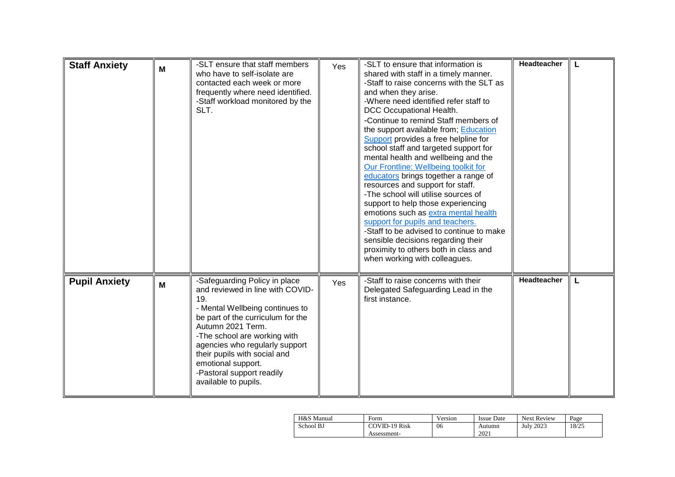| <b>Staff Anxiety</b> | M | -SLT ensure that staff members<br>who have to self-isolate are<br>contacted each week or more<br>frequently where need identified.<br>-Staff workload monitored by the<br>SLT.                                                                                                                                                                     | Yes | -SLT to ensure that information is<br>shared with staff in a timely manner.<br>-Staff to raise concerns with the SLT as<br>and when they arise.<br>-Where need identified refer staff to<br>DCC Occupational Health.<br>-Continue to remind Staff members of<br>the support available from; Education<br>Support provides a free helpline for<br>school staff and targeted support for<br>mental health and wellbeing and the<br>Our Frontline: Wellbeing toolkit for<br>educators brings together a range of<br>resources and support for staff.<br>-The school will utilise sources of<br>support to help those experiencing<br>emotions such as extra mental health<br>support for pupils and teachers.<br>-Staff to be advised to continue to make<br>sensible decisions regarding their<br>proximity to others both in class and<br>when working with colleagues. | <b>Headteacher</b> | L |
|----------------------|---|----------------------------------------------------------------------------------------------------------------------------------------------------------------------------------------------------------------------------------------------------------------------------------------------------------------------------------------------------|-----|------------------------------------------------------------------------------------------------------------------------------------------------------------------------------------------------------------------------------------------------------------------------------------------------------------------------------------------------------------------------------------------------------------------------------------------------------------------------------------------------------------------------------------------------------------------------------------------------------------------------------------------------------------------------------------------------------------------------------------------------------------------------------------------------------------------------------------------------------------------------|--------------------|---|
| <b>Pupil Anxiety</b> | M | -Safeguarding Policy in place<br>and reviewed in line with COVID-<br>19.<br>- Mental Wellbeing continues to<br>be part of the curriculum for the<br>Autumn 2021 Term.<br>-The school are working with<br>agencies who regularly support<br>their pupils with social and<br>emotional support.<br>-Pastoral support readily<br>available to pupils. | Yes | -Staff to raise concerns with their<br>Delegated Safeguarding Lead in the<br>first instance.                                                                                                                                                                                                                                                                                                                                                                                                                                                                                                                                                                                                                                                                                                                                                                           | <b>Headteacher</b> | L |

| H&S Manual | Form          | Version | <b>Issue Date</b> | <b>Next Review</b> | Page  |
|------------|---------------|---------|-------------------|--------------------|-------|
| School BJ  | COVID-19 Risk | 06      | Autumn            | July 2023          | 18/25 |
|            | Assessment-   |         | 2021              |                    |       |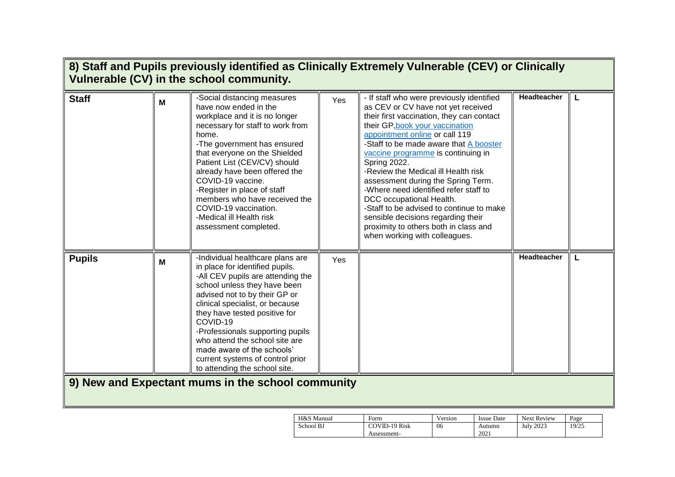|               |   | Vulnerable (CV) in the school community.                                                                                                                                                                                                                                                                                                                                                                                               |     | 8) Staff and Pupils previously identified as Clinically Extremely Vulnerable (CEV) or Clinically                                                                                                                                                                                                                                                                                                                                                                                                                                                                                                                |                    |   |
|---------------|---|----------------------------------------------------------------------------------------------------------------------------------------------------------------------------------------------------------------------------------------------------------------------------------------------------------------------------------------------------------------------------------------------------------------------------------------|-----|-----------------------------------------------------------------------------------------------------------------------------------------------------------------------------------------------------------------------------------------------------------------------------------------------------------------------------------------------------------------------------------------------------------------------------------------------------------------------------------------------------------------------------------------------------------------------------------------------------------------|--------------------|---|
| <b>Staff</b>  | M | -Social distancing measures<br>have now ended in the<br>workplace and it is no longer<br>necessary for staff to work from<br>home.<br>-The government has ensured<br>that everyone on the Shielded<br>Patient List (CEV/CV) should<br>already have been offered the<br>COVID-19 vaccine.<br>-Register in place of staff<br>members who have received the<br>COVID-19 vaccination.<br>-Medical ill Health risk<br>assessment completed. | Yes | - If staff who were previously identified<br>as CEV or CV have not yet received<br>their first vaccination, they can contact<br>their GP, book your vaccination<br>appointment online or call 119<br>-Staff to be made aware that A booster<br>vaccine programme is continuing in<br>Spring 2022.<br>-Review the Medical ill Health risk<br>assessment during the Spring Term.<br>-Where need identified refer staff to<br>DCC occupational Health.<br>-Staff to be advised to continue to make<br>sensible decisions regarding their<br>proximity to others both in class and<br>when working with colleagues. | <b>Headteacher</b> | L |
| <b>Pupils</b> | M | -Individual healthcare plans are<br>in place for identified pupils.<br>-All CEV pupils are attending the<br>school unless they have been<br>advised not to by their GP or<br>clinical specialist, or because<br>they have tested positive for<br>COVID-19<br>-Professionals supporting pupils<br>who attend the school site are<br>made aware of the schools'<br>current systems of control prior<br>to attending the school site.     | Yes |                                                                                                                                                                                                                                                                                                                                                                                                                                                                                                                                                                                                                 | Headteacher        | L |
|               |   | 9) New and Expectant mums in the school community                                                                                                                                                                                                                                                                                                                                                                                      |     |                                                                                                                                                                                                                                                                                                                                                                                                                                                                                                                                                                                                                 |                    |   |

| H&S Manual | Form                 | Version | <b>Issue Date</b> | <b>Next Review</b> | Page  |
|------------|----------------------|---------|-------------------|--------------------|-------|
| School BJ  | <b>COVID-19 Risk</b> | 06      | Autumn            | <b>July 2023</b>   | 19/25 |
|            | Assessment-          |         | 2021              |                    |       |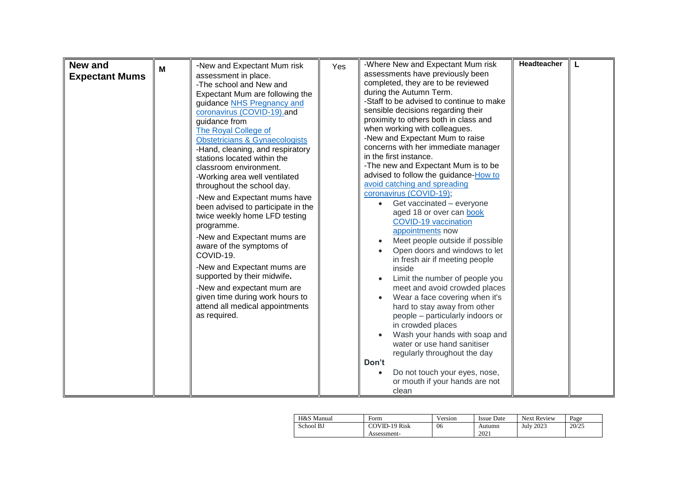| <b>New and</b>        |   |                                           |     | Headteacher<br>-Where New and Expectant Mum risk<br>L |  |
|-----------------------|---|-------------------------------------------|-----|-------------------------------------------------------|--|
|                       | м | -New and Expectant Mum risk               | Yes | assessments have previously been                      |  |
| <b>Expectant Mums</b> |   | assessment in place.                      |     |                                                       |  |
|                       |   | -The school and New and                   |     | completed, they are to be reviewed                    |  |
|                       |   | Expectant Mum are following the           |     | during the Autumn Term.                               |  |
|                       |   | guidance NHS Pregnancy and                |     | -Staff to be advised to continue to make              |  |
|                       |   | coronavirus (COVID-19).and                |     | sensible decisions regarding their                    |  |
|                       |   | guidance from                             |     | proximity to others both in class and                 |  |
|                       |   | The Royal College of                      |     | when working with colleagues.                         |  |
|                       |   | <b>Obstetricians &amp; Gynaecologists</b> |     | -New and Expectant Mum to raise                       |  |
|                       |   | -Hand, cleaning, and respiratory          |     | concerns with her immediate manager                   |  |
|                       |   | stations located within the               |     | in the first instance.                                |  |
|                       |   | classroom environment.                    |     | -The new and Expectant Mum is to be                   |  |
|                       |   | -Working area well ventilated             |     | advised to follow the guidance-How to                 |  |
|                       |   | throughout the school day.                |     | avoid catching and spreading                          |  |
|                       |   | -New and Expectant mums have              |     | coronavirus (COVID-19);                               |  |
|                       |   | been advised to participate in the        |     | Get vaccinated - everyone                             |  |
|                       |   | twice weekly home LFD testing             |     | aged 18 or over can book                              |  |
|                       |   | programme.                                |     | <b>COVID-19 vaccination</b>                           |  |
|                       |   |                                           |     | appointments now                                      |  |
|                       |   | -New and Expectant mums are               |     | Meet people outside if possible                       |  |
|                       |   | aware of the symptoms of                  |     | Open doors and windows to let                         |  |
|                       |   | COVID-19.                                 |     | in fresh air if meeting people                        |  |
|                       |   | -New and Expectant mums are               |     | inside                                                |  |
|                       |   | supported by their midwife.               |     | Limit the number of people you                        |  |
|                       |   | -New and expectant mum are                |     | meet and avoid crowded places                         |  |
|                       |   | given time during work hours to           |     | Wear a face covering when it's                        |  |
|                       |   | attend all medical appointments           |     | hard to stay away from other                          |  |
|                       |   |                                           |     |                                                       |  |
|                       |   | as required.                              |     | people - particularly indoors or                      |  |
|                       |   |                                           |     | in crowded places                                     |  |
|                       |   |                                           |     | Wash your hands with soap and                         |  |
|                       |   |                                           |     | water or use hand sanitiser                           |  |
|                       |   |                                           |     | regularly throughout the day                          |  |
|                       |   |                                           |     | Don't                                                 |  |
|                       |   |                                           |     | Do not touch your eyes, nose,                         |  |
|                       |   |                                           |     | or mouth if your hands are not                        |  |
|                       |   |                                           |     | clean                                                 |  |

| H&S Manual | Form          | Version | <b>Issue Date</b> | <b>Next Review</b> | Page  |
|------------|---------------|---------|-------------------|--------------------|-------|
| School BJ  | COVID-19 Risk | 06      | Autumn            | <b>July 2023</b>   | 20/25 |
|            | Assessment-   |         | 2021              |                    |       |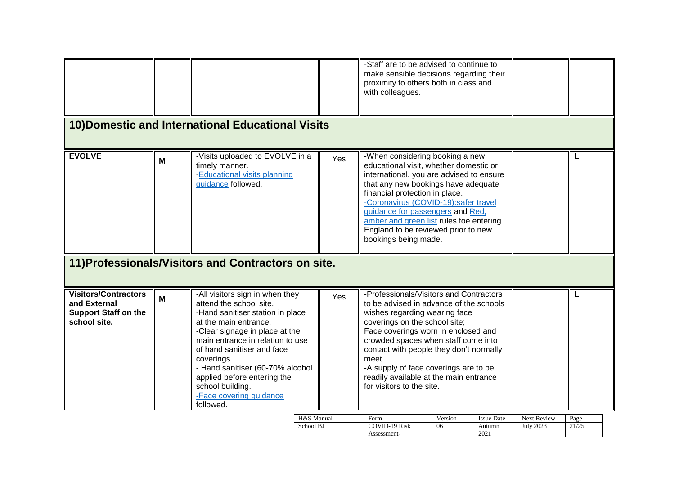|                                                                                            |                                                     | 10) Domestic and International Educational Visits                                                                                                                                                                                                                                                                                                                        |     | -Staff are to be advised to continue to<br>make sensible decisions regarding their<br>proximity to others both in class and<br>with colleagues.                                                                                                                                                                                                                                                        |               |                             |                                        |               |  |
|--------------------------------------------------------------------------------------------|-----------------------------------------------------|--------------------------------------------------------------------------------------------------------------------------------------------------------------------------------------------------------------------------------------------------------------------------------------------------------------------------------------------------------------------------|-----|--------------------------------------------------------------------------------------------------------------------------------------------------------------------------------------------------------------------------------------------------------------------------------------------------------------------------------------------------------------------------------------------------------|---------------|-----------------------------|----------------------------------------|---------------|--|
| <b>EVOLVE</b>                                                                              | M                                                   | -Visits uploaded to EVOLVE in a<br>timely manner.<br>-Educational visits planning<br>guidance followed.                                                                                                                                                                                                                                                                  | Yes | -When considering booking a new<br>educational visit, whether domestic or<br>international, you are advised to ensure<br>that any new bookings have adequate<br>financial protection in place.<br>-Coronavirus (COVID-19):safer travel<br>guidance for passengers and Red,<br>amber and green list rules foe entering<br>England to be reviewed prior to new<br>bookings being made.                   |               |                             |                                        | L             |  |
|                                                                                            | 11) Professionals/Visitors and Contractors on site. |                                                                                                                                                                                                                                                                                                                                                                          |     |                                                                                                                                                                                                                                                                                                                                                                                                        |               |                             |                                        |               |  |
| <b>Visitors/Contractors</b><br>and External<br><b>Support Staff on the</b><br>school site. | M                                                   | -All visitors sign in when they<br>attend the school site.<br>-Hand sanitiser station in place<br>at the main entrance.<br>-Clear signage in place at the<br>main entrance in relation to use<br>of hand sanitiser and face<br>coverings.<br>- Hand sanitiser (60-70% alcohol<br>applied before entering the<br>school building.<br>-Face covering guidance<br>followed. | Yes | -Professionals/Visitors and Contractors<br>to be advised in advance of the schools<br>wishes regarding wearing face<br>coverings on the school site;<br>Face coverings worn in enclosed and<br>crowded spaces when staff come into<br>contact with people they don't normally<br>meet.<br>-A supply of face coverings are to be<br>readily available at the main entrance<br>for visitors to the site. |               |                             |                                        | L             |  |
|                                                                                            |                                                     | H&S Manual<br>School BJ                                                                                                                                                                                                                                                                                                                                                  |     | Form<br><b>COVID-19 Risk</b>                                                                                                                                                                                                                                                                                                                                                                           | Version<br>06 | <b>Issue Date</b><br>Autumn | <b>Next Review</b><br><b>July 2023</b> | Page<br>21/25 |  |

Assessment-

2021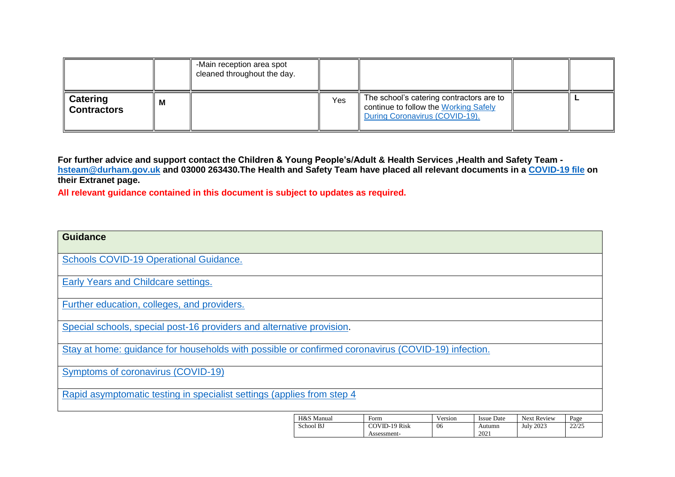|                                       |   | -Main reception area spot<br>cleaned throughout the day. |     |                                                                                                                     |  |
|---------------------------------------|---|----------------------------------------------------------|-----|---------------------------------------------------------------------------------------------------------------------|--|
| <b>Catering</b><br><b>Contractors</b> | м |                                                          | Yes | The school's catering contractors are to<br>continue to follow the Working Safely<br>During Coronavirus (COVID-19). |  |

**For further advice and support contact the Children & Young People's/Adult & Health Services ,Health and Safety Team [hsteam@durham.gov.uk](mailto:hsteam@durham.gov.uk) and 03000 263430.The Health and Safety Team have placed all relevant documents in a [COVID-19 file](https://gateway.durhamschools.org.uk/premises/healthsafety/Lists/Covid19/Document.aspx?ID=1&Source=https://gateway.durhamschools.org.uk/premises/healthsafety%2FLists/Covid19) on their Extranet page.**

**All relevant guidance contained in this document is subject to updates as required.**

| <b>Guidance</b>                                                                                    |                         |                                      |               |                                     |                          |               |
|----------------------------------------------------------------------------------------------------|-------------------------|--------------------------------------|---------------|-------------------------------------|--------------------------|---------------|
| <b>Schools COVID-19 Operational Guidance.</b>                                                      |                         |                                      |               |                                     |                          |               |
| Early Years and Childcare settings.                                                                |                         |                                      |               |                                     |                          |               |
| Further education, colleges, and providers.                                                        |                         |                                      |               |                                     |                          |               |
| Special schools, special post-16 providers and alternative provision.                              |                         |                                      |               |                                     |                          |               |
| Stay at home: guidance for households with possible or confirmed coronavirus (COVID-19) infection. |                         |                                      |               |                                     |                          |               |
| Symptoms of coronavirus (COVID-19)                                                                 |                         |                                      |               |                                     |                          |               |
| Rapid asymptomatic testing in specialist settings (applies from step 4                             |                         |                                      |               |                                     |                          |               |
|                                                                                                    | H&S Manual<br>School BJ | Form<br>COVID-19 Risk<br>Assessment- | Version<br>06 | <b>Issue Date</b><br>Autumn<br>2021 | Next Review<br>July 2023 | Page<br>22/25 |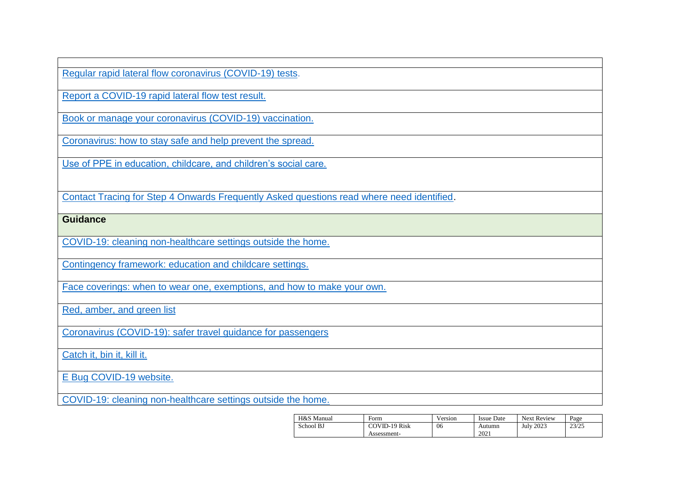[Regular rapid lateral flow coronavirus \(COVID-19\) tests.](https://www.nhs.uk/conditions/coronavirus-covid-19/testing/regular-rapid-coronavirus-tests-if-you-do-not-have-symptoms/)

[Report a COVID-19 rapid lateral flow test result.](https://www.gov.uk/report-covid19-result)

[Book or manage your coronavirus \(COVID-19\) vaccination.](https://www.nhs.uk/conditions/coronavirus-covid-19/coronavirus-vaccination/book-coronavirus-vaccination/)

Coronavirus: how [to stay safe and help prevent the spread.](https://www.gov.uk/guidance/covid-19-coronavirus-restrictions-what-you-can-and-cannot-do)

[Use of PPE in education, childcare, and children's social care.](https://www.gov.uk/government/publications/safe-working-in-education-childcare-and-childrens-social-care/the-use-of-personal-protective-equipment-ppe-in-education-childcare-and-childrens-social-care-settings-including-for-aerosol-generating-procedure)

[Contact Tracing for Step 4 Onwards Frequently Asked questions read where need identified.](https://drive.google.com/drive/folders/1X5SgRwxSIBJNnAGnT8rroKeX8rVpXEJI?form=MY01SV&OCID=MY01SV)

**Guidance** 

[COVID-19: cleaning non-healthcare settings outside the home.](https://www.gov.uk/government/publications/covid-19-decontamination-in-non-healthcare-settings/covid-19-decontamination-in-non-healthcare-settings)

[Contingency framework: education and childcare settings.](https://www.gov.uk/government/publications/coronavirus-covid-19-local-restrictions-in-education-and-childcare-settings/contingency-framework-education-and-childcare-settings)

[Face coverings: when to wear one, exemptions, and how to make your own.](https://www.gov.uk/government/publications/face-coverings-when-to-wear-one-and-how-to-make-your-own/face-coverings-when-to-wear-one-and-how-to-make-your-own)

[Red, amber, and green list](https://www.gov.uk/guidance/red-amber-and-green-list-rules-for-entering-england)

[Coronavirus \(COVID-19\): safer travel guidance for passengers](https://www.gov.uk/guidance/coronavirus-covid-19-safer-travel-guidance-for-passengers#checklists-for-safer-travel)

[Catch it, bin it, kill it.](https://www.infectionpreventioncontrol.co.uk/resources/catch-it-bin-it-kill-it-poster/)

E [Bug COVID-19 website.](https://e-bug.eu/eng_home.aspx?cc=eng&ss=1&t=Information%20about%20the%20Coronavirus)

COVID-19: cleaning [non-healthcare settings outside the home.](https://www.gov.uk/government/publications/covid-19-decontamination-in-non-healthcare-settings/covid-19-decontamination-in-non-healthcare-settings)

| H&S Manual | Form                 | Version | <b>Issue Date</b> | <b>Next Review</b> | Page  |
|------------|----------------------|---------|-------------------|--------------------|-------|
| School BJ  | <b>COVID-19 Risk</b> | 06      | Autumn            | July 2023          | 23/25 |
|            | Assessment-          |         | 2021              |                    |       |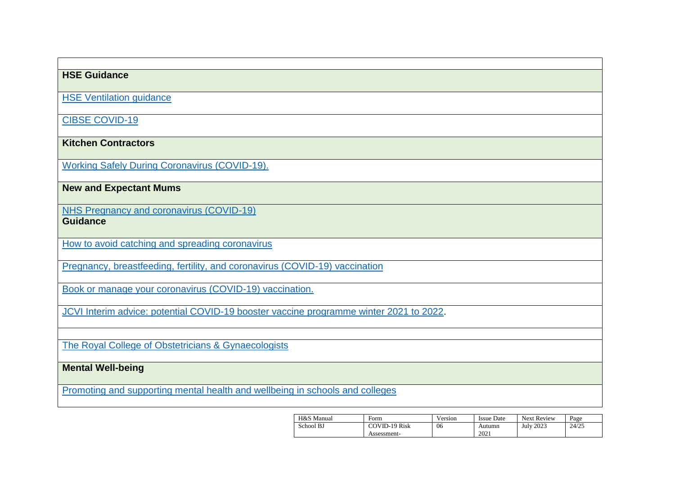## **HSE Guidance**

[HSE Ventilation guidance](https://www.hse.gov.uk/coronavirus/equipment-and-machinery/air-conditioning-and-ventilation/index.htm)

[CIBSE COVID-19](https://www.cibse.org/coronavirus-covid-19/emerging-from-lockdown)

**Kitchen Contractors**

[Working Safely During Coronavirus \(COVID-19\).](https://www.gov.uk/guidance/working-safely-during-covid-19/restaurants-pubs-bars-nightclubs-and-takeaway-services)

**New and Expectant Mums**

[NHS Pregnancy and coronavirus \(COVID-19\)](https://www.nhs.uk/conditions/coronavirus-covid-19/people-at-higher-risk/pregnancy-and-coronavirus/) **Guidance**

[How to avoid catching and spreading coronavirus](https://www.nhs.uk/conditions/coronavirus-covid-19/how-to-avoid-catching-and-spreading-coronavirus-covid-19/)

[Pregnancy, breastfeeding, fertility, and coronavirus \(COVID-19\) vaccination](https://www.nhs.uk/conditions/coronavirus-covid-19/coronavirus-vaccination/pregnancy-breastfeeding-fertility-and-coronavirus-covid-19-vaccination/)

[Book or manage your coronavirus \(COVID-19\) vaccination.](https://www.nhs.uk/conditions/coronavirus-covid-19/coronavirus-vaccination/book-coronavirus-vaccination/)

[JCVI Interim advice: potential COVID-19 booster vaccine programme winter 2021 to 2022.](https://www.gov.uk/government/publications/jcvi-interim-advice-on-a-potential-coronavirus-covid-19-booster-vaccine-programme-for-winter-2021-to-2022/jcvi-interim-advice-potential-covid-19-booster-vaccine-programme-winter-2021-to-2022)

[The Royal College of Obstetricians & Gynaecologists](https://www.rcog.org.uk/en/guidelines-research-services/guidelines/coronavirus-pregnancy/covid-19-virus-infection-and-pregnancy/#c19)

**Mental Well-being**

[Promoting and supporting mental health and wellbeing in schools and colleges](https://www.gov.uk/guidance/mental-health-and-wellbeing-support-in-schools-and-colleges#contents)

| H&S Manual | Form                 | Version | <b>Issue Date</b> | <b>Next Review</b> | Page  |
|------------|----------------------|---------|-------------------|--------------------|-------|
| School BJ  | <b>COVID-19 Risk</b> | 06      | Autumn            | <b>July 2023</b>   | 24/25 |
|            | Assessment-          |         | 2021              |                    |       |